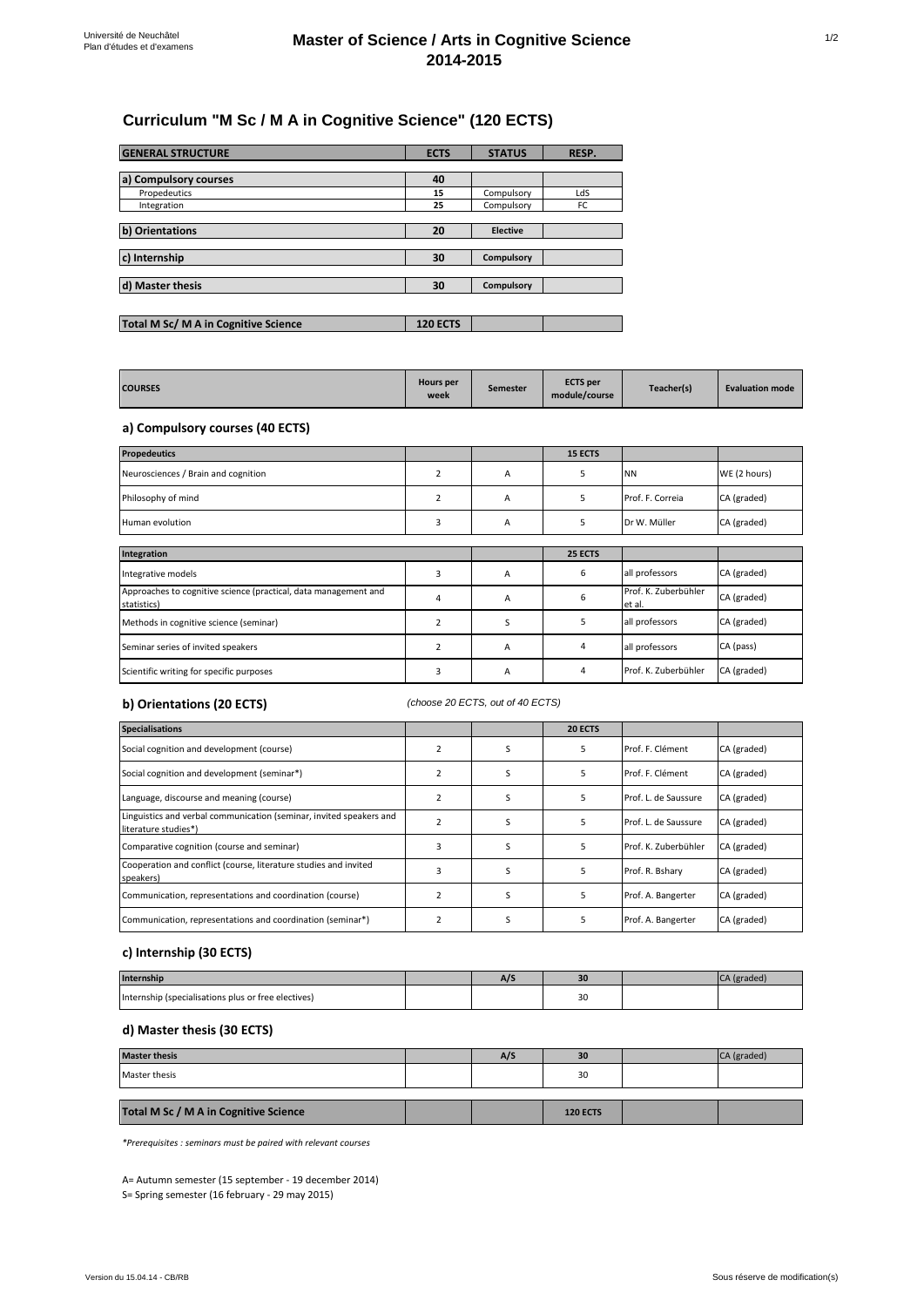# **Curriculum "M Sc / M A in Cognitive Science" (120 ECTS)**

| <b>GENERAL STRUCTURE</b>             | <b>ECTS</b>     | <b>STATUS</b>   | RESP. |
|--------------------------------------|-----------------|-----------------|-------|
|                                      |                 |                 |       |
| a) Compulsory courses                | 40              |                 |       |
| Propedeutics                         | 15              | Compulsory      | LdS   |
| Integration                          | 25              | Compulsory      | FC    |
|                                      |                 |                 |       |
| b) Orientations                      | 20              | <b>Elective</b> |       |
|                                      |                 |                 |       |
| c) Internship                        | 30              | Compulsory      |       |
|                                      |                 |                 |       |
| d) Master thesis                     | 30              | Compulsory      |       |
|                                      |                 |                 |       |
|                                      |                 |                 |       |
| Total M Sc/ M A in Cognitive Science | <b>120 ECTS</b> |                 |       |

| <b>COURSES</b> | <b>Hours</b> per<br>week | <b>Semester</b> | <b>ECTS</b> per<br>module/course | Teacher(s) | <b>Evaluation mode</b> |
|----------------|--------------------------|-----------------|----------------------------------|------------|------------------------|
|----------------|--------------------------|-----------------|----------------------------------|------------|------------------------|

### **a) Compulsory courses (40 ECTS)**

| <b>Propedeutics</b>                                                            |                |   | 15 ECTS |                                |              |
|--------------------------------------------------------------------------------|----------------|---|---------|--------------------------------|--------------|
| Neurosciences / Brain and cognition                                            | $\overline{2}$ | A | 5       | <b>NN</b>                      | WE (2 hours) |
| Philosophy of mind                                                             | $\overline{2}$ | A | 5       | Prof. F. Correia               | CA (graded)  |
| Human evolution                                                                | 3              | A | 5       | Dr W. Müller                   | CA (graded)  |
|                                                                                |                |   |         |                                |              |
| Integration                                                                    |                |   | 25 ECTS |                                |              |
| Integrative models                                                             | 3              | A | 6       | all professors                 | CA (graded)  |
| Approaches to cognitive science (practical, data management and<br>statistics) | 4              | A | 6       | Prof. K. Zuberbühler<br>et al. | CA (graded)  |
| Methods in cognitive science (seminar)                                         | $\overline{2}$ | S | 5       | all professors                 | CA (graded)  |
| Seminar series of invited speakers                                             | 2              | A | 4       | all professors                 | CA (pass)    |
| Scientific writing for specific purposes                                       | 3              | A | 4       | Prof. K. Zuberbühler           | CA (graded)  |

### **b) Orientations (20 ECTS)**

*(choose 20 ECTS, out of 40 ECTS)*

| <b>Specialisations</b>                                                                      |   |   | 20 ECTS |                      |             |
|---------------------------------------------------------------------------------------------|---|---|---------|----------------------|-------------|
| Social cognition and development (course)                                                   |   |   |         | Prof. F. Clément     | CA (graded) |
| Social cognition and development (seminar*)                                                 |   |   |         | Prof. F. Clément     | CA (graded) |
| Language, discourse and meaning (course)                                                    |   | S |         | Prof. L. de Saussure | CA (graded) |
| Linguistics and verbal communication (seminar, invited speakers and<br>literature studies*) |   |   |         | Prof. L. de Saussure | CA (graded) |
| Comparative cognition (course and seminar)                                                  |   |   |         | Prof. K. Zuberbühler | CA (graded) |
| Cooperation and conflict (course, literature studies and invited<br>speakers)               | 3 |   |         | Prof. R. Bshary      | CA (graded) |
| Communication, representations and coordination (course)                                    |   | ς |         | Prof. A. Bangerter   | CA (graded) |
| Communication, representations and coordination (seminar*)                                  |   |   |         | Prof. A. Bangerter   | CA (graded) |

#### **c) Internship (30 ECTS)**

| <b>Internship</b>                                   | ~ | 3 <sub>0</sub> |  |
|-----------------------------------------------------|---|----------------|--|
| Internship (specialisations plus or free electives) |   | 30             |  |

## **d) Master thesis (30 ECTS)**

| <b>Master thesis</b>                  | A/S | 30              | CA (graded) |
|---------------------------------------|-----|-----------------|-------------|
| Master thesis                         |     | 30              |             |
|                                       |     |                 |             |
| Total M Sc / M A in Cognitive Science |     | <b>120 ECTS</b> |             |

*\*Prerequisites : seminars must be paired with relevant courses*

S= Spring semester (16 february - 29 may 2015) A= Autumn semester (15 september - 19 december 2014)